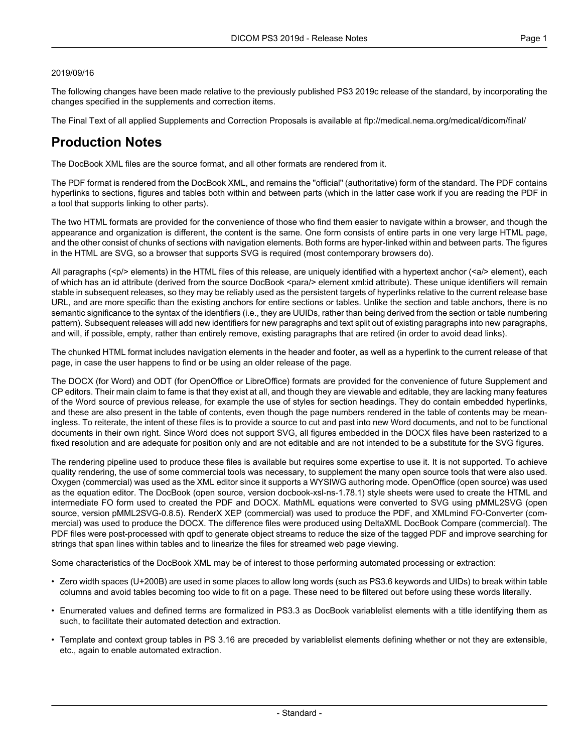#### 2019/09/16

The following changes have been made relative to the previously published PS3 2019c release of the standard, by incorporating the changes specified in the supplements and correction items.

The Final Text of all applied Supplements and Correction Proposals is available at <ftp://medical.nema.org/medical/dicom/final/>

# **Production Notes**

The DocBook XML files are the source format, and all other formats are rendered from it.

The PDF format is rendered from the DocBook XML, and remains the "official" (authoritative) form of the standard. The PDF contains hyperlinks to sections, figures and tables both within and between parts (which in the latter case work if you are reading the PDF in a tool that supports linking to other parts).

The two HTML formats are provided for the convenience of those who find them easier to navigate within a browser, and though the appearance and organization is different, the content is the same. One form consists of entire parts in one very large HTML page, and the other consist of chunks of sections with navigation elements. Both forms are hyper-linked within and between parts. The figures in the HTML are SVG, so a browser that supports SVG is required (most contemporary browsers do).

All paragraphs (<p/> elements) in the HTML files of this release, are uniquely identified with a hypertext anchor (<a/><a/>> element), each of which has an id attribute (derived from the source DocBook <para/> element xml:id attribute). These unique identifiers will remain stable in subsequent releases, so they may be reliably used as the persistent targets of hyperlinks relative to the current release base URL, and are more specific than the existing anchors for entire sections or tables. Unlike the section and table anchors, there is no semantic significance to the syntax of the identifiers (i.e., they are UUIDs, rather than being derived from the section or table numbering pattern). Subsequent releases will add new identifiers for new paragraphs and text split out of existing paragraphs into new paragraphs, and will, if possible, empty, rather than entirely remove, existing paragraphs that are retired (in order to avoid dead links).

The chunked HTML format includes navigation elements in the header and footer, as well as a hyperlink to the current release of that page, in case the user happens to find or be using an older release of the page.

The DOCX (for Word) and ODT (for OpenOffice or LibreOffice) formats are provided for the convenience of future Supplement and CP editors. Their main claim to fame is that they exist at all, and though they are viewable and editable, they are lacking many features of the Word source of previous release, for example the use of styles for section headings. They do contain embedded hyperlinks, and these are also present in the table of contents, even though the page numbers rendered in the table of contents may be mean ingless. To reiterate, the intent of these files is to provide a source to cut and past into new Word documents, and not to be functional documents in their own right. Since Word does not support SVG, all figures embedded in the DOCX files have been rasterized to a fixed resolution and are adequate for position only and are not editable and are not intended to be a substitute for the SVG figures.

The rendering pipeline used to produce these files is available but requires some expertise to use it. It is not supported. To achieve quality rendering, the use of some commercial tools was necessary, to supplement the many open source tools that were also used. Oxygen (commercial) was used as the XML editor since it supports a WYSIWG authoring mode. OpenOffice (open source) was used as the equation editor. The DocBook (open source, version docbook-xsl-ns-1.78.1) style sheets were used to create the HTML and intermediate FO form used to created the PDF and DOCX. MathML equations were converted to SVG using pMML2SVG (open source, version pMML2SVG-0.8.5). RenderX XEP (commercial) was used to produce the PDF, and XMLmind FO-Converter (com mercial) was used to produce the DOCX. The difference files were produced using DeltaXML DocBook Compare (commercial). The PDF files were post-processed with qpdf to generate object streams to reduce the size of the tagged PDF and improve searching for strings that span lines within tables and to linearize the files for streamed web page viewing.

Some characteristics of the DocBook XML may be of interest to those performing automated processing or extraction:

- Zero width spaces (U+200B) are used in some places to allow long words (such as PS3.6 keywords and UIDs) to break within table columns and avoid tables becoming too wide to fit on a page. These need to be filtered out before using these words literally.
- Enumerated values and defined terms are formalized in PS3.3 as DocBook variablelist elements with a title identifying them as such, to facilitate their automated detection and extraction.
- Template and context group tables in PS 3.16 are preceded by variablelist elements defining whether or not they are extensible, etc., again to enable automated extraction.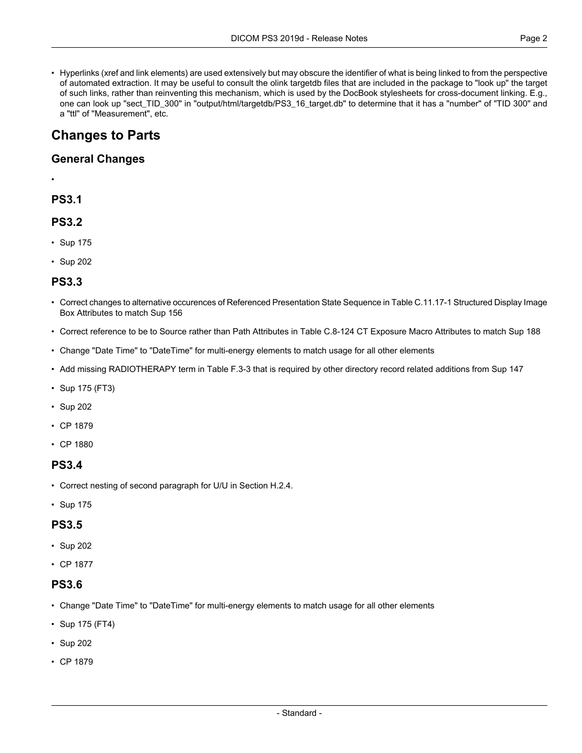• Hyperlinks (xref and link elements) are used extensively but may obscure the identifier of what is being linked to from the perspective of automated extraction. It may be useful to consult the olink targetdb files that are included in the package to "look up" the target of such links, rather than reinventing this mechanism, which is used by the DocBook stylesheets for cross-document linking. E.g., one can look up "sect\_TID\_300" in "output/html/targetdb/PS3\_16\_target.db" to determine that it has a "number" of "TID 300" and a "ttl" of "Measurement", etc.

# **Changes to Parts**

### **General Changes**

•

### **PS3.1**

#### **PS3.2**

- [Sup](#page-3-0) 175
- [Sup](#page-3-1) 202

### **PS3.3**

- Correct changes to alternative occurences of Referenced Presentation State Sequence in Table C.11.17-1 Structured Display Image Box Attributes to match Sup 156
- Correct reference to be to Source rather than Path Attributes in Table C.8-124 CT Exposure Macro Attributes to match Sup 188
- Change "Date Time" to "DateTime" for multi-energy elements to match usage for all other elements
- Add missing RADIOTHERAPY term in Table F.3-3 that is required by other directory record related additions from Sup 147
- [Sup](#page-3-0) 175 (FT3)
- [Sup](#page-3-1) 202
- CP [1879](#page-3-2)
- CP [1880](#page-3-3)

### **PS3.4**

- Correct nesting of second paragraph for U/U in Section H.2.4.
- [Sup](#page-3-0) 175

#### **PS3.5**

- [Sup](#page-3-1) 202
- CP [1877](#page-3-4)

#### **PS3.6**

- Change "Date Time" to "DateTime" for multi-energy elements to match usage for all other elements
- [Sup](#page-3-0) 175 (FT4)
- [Sup](#page-3-1) 202
- CP [1879](#page-3-2)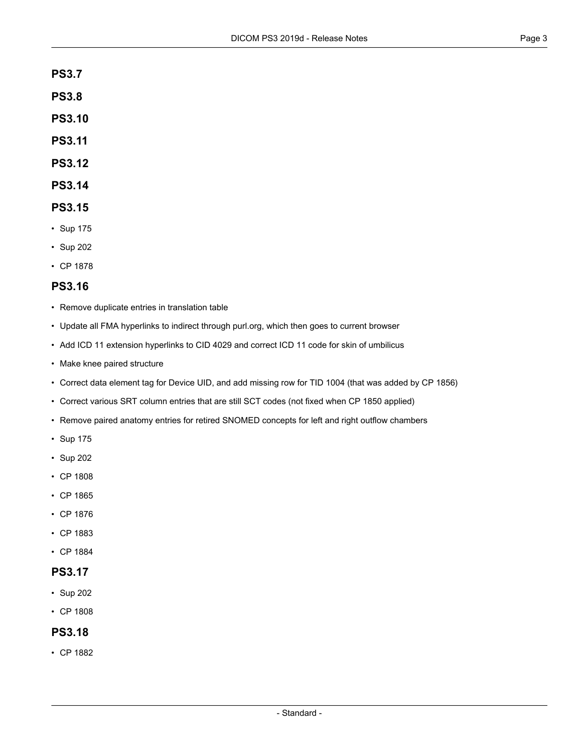- **PS3.7**
- **PS3.8**
- **PS3.10**
- **PS3.11**
- **PS3.12**
- **PS3.14**

#### **PS3.15**

- [Sup](#page-3-0) 175
- [Sup](#page-3-1) 202
- CP [1878](#page-3-5)

#### **PS3.16**

- Remove duplicate entries in translation table
- Update all FMA hyperlinks to indirect through purl.org, which then goes to current browser
- Add ICD 11 extension hyperlinks to CID 4029 and correct ICD 11 code for skin of umbilicus
- Make knee paired structure
- Correct data element tag for Device UID, and add missing row for TID 1004 (that was added by CP 1856)
- Correct various SRT column entries that are still SCT codes (not fixed when CP 1850 applied)
- Remove paired anatomy entries for retired SNOMED concepts for left and right outflow chambers
- [Sup](#page-3-0) 175
- [Sup](#page-3-1) 202
- CP [1808](#page-3-6)
- CP [1865](#page-3-7)
- CP [1876](#page-3-8)
- CP [1883](#page-3-9)
- CP [1884](#page-3-10)

### **PS3.17**

- [Sup](#page-3-1) 202
- CP [1808](#page-3-6)

### **PS3.18**

• CP [1882](#page-3-11)